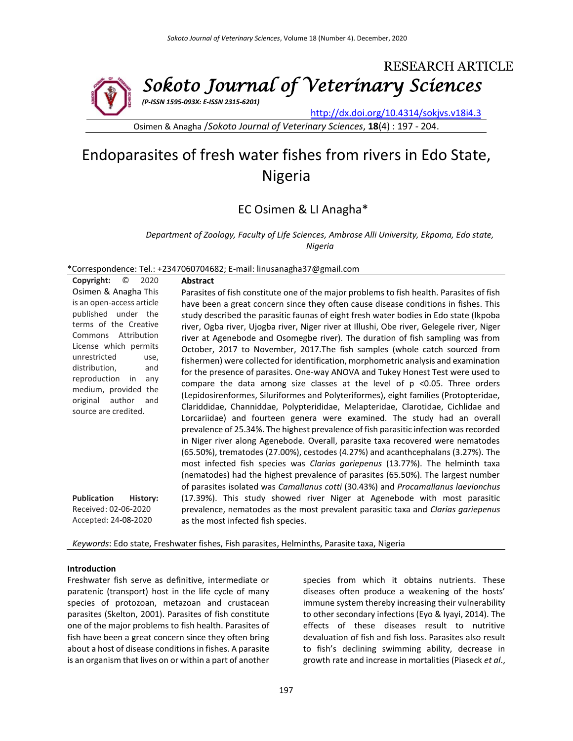

Osimen & Anagha /*Sokoto Journal of Veterinary Sciences*, **18**(4) : 197 - 204.

# Endoparasites of fresh water fishes from rivers in Edo State, Nigeria

## EC Osimen & LI Anagha\*

*Department of Zoology, Faculty of Life Sciences, Ambrose Alli University, Ekpoma, Edo state, Nigeria*

\*Correspondence: Tel.: +2347060704682; E-mail: linusanagha37@gmail.com

| O<br>Copyright:<br>2020                                                                                                                                                                                                                                                                                  | <b>Abstract</b>                                                                                                                                                                                                                                                                                                                                                                                                                                                                                                                                                                                                                                                                                                                                                                                                                                                                                                                                                                                                                                                                                                                                                                                                                                                                                                                                                                                                                                                                                                                                                                   |
|----------------------------------------------------------------------------------------------------------------------------------------------------------------------------------------------------------------------------------------------------------------------------------------------------------|-----------------------------------------------------------------------------------------------------------------------------------------------------------------------------------------------------------------------------------------------------------------------------------------------------------------------------------------------------------------------------------------------------------------------------------------------------------------------------------------------------------------------------------------------------------------------------------------------------------------------------------------------------------------------------------------------------------------------------------------------------------------------------------------------------------------------------------------------------------------------------------------------------------------------------------------------------------------------------------------------------------------------------------------------------------------------------------------------------------------------------------------------------------------------------------------------------------------------------------------------------------------------------------------------------------------------------------------------------------------------------------------------------------------------------------------------------------------------------------------------------------------------------------------------------------------------------------|
| Osimen & Anagha This<br>is an open-access article<br>published under the<br>terms of the Creative<br>Commons Attribution<br>License which permits<br>unrestricted<br>use,<br>distribution,<br>and<br>reproduction<br>in<br>any<br>medium, provided the<br>original author<br>and<br>source are credited. | Parasites of fish constitute one of the major problems to fish health. Parasites of fish<br>have been a great concern since they often cause disease conditions in fishes. This<br>study described the parasitic faunas of eight fresh water bodies in Edo state (Ikpoba<br>river, Ogba river, Ujogba river, Niger river at Illushi, Obe river, Gelegele river, Niger<br>river at Agenebode and Osomegbe river). The duration of fish sampling was from<br>October, 2017 to November, 2017. The fish samples (whole catch sourced from<br>fishermen) were collected for identification, morphometric analysis and examination<br>for the presence of parasites. One-way ANOVA and Tukey Honest Test were used to<br>compare the data among size classes at the level of $p$ <0.05. Three orders<br>(Lepidosirenformes, Siluriformes and Polyteriformes), eight families (Protopteridae,<br>Clariddidae, Channiddae, Polypterididae, Melapteridae, Clarotidae, Cichlidae and<br>Lorcariidae) and fourteen genera were examined. The study had an overall<br>prevalence of 25.34%. The highest prevalence of fish parasitic infection was recorded<br>in Niger river along Agenebode. Overall, parasite taxa recovered were nematodes<br>(65.50%), trematodes (27.00%), cestodes (4.27%) and acanthcephalans (3.27%). The<br>most infected fish species was Clarias gariepenus (13.77%). The helminth taxa<br>(nematodes) had the highest prevalence of parasites (65.50%). The largest number<br>of parasites isolated was Camallanus cotti (30.43%) and Procamallanus laevionchus |
| <b>Publication</b><br>History:<br>Received: 02-06-2020<br>Accepted: 24-08-2020                                                                                                                                                                                                                           | (17.39%). This study showed river Niger at Agenebode with most parasitic<br>prevalence, nematodes as the most prevalent parasitic taxa and Clarias gariepenus<br>as the most infected fish species.                                                                                                                                                                                                                                                                                                                                                                                                                                                                                                                                                                                                                                                                                                                                                                                                                                                                                                                                                                                                                                                                                                                                                                                                                                                                                                                                                                               |

*Keywords*: Edo state, Freshwater fishes, Fish parasites, Helminths, Parasite taxa, Nigeria

#### **Introduction**

Freshwater fish serve as definitive, intermediate or paratenic (transport) host in the life cycle of many species of protozoan, metazoan and crustacean parasites (Skelton, 2001). Parasites of fish constitute one of the major problems to fish health. Parasites of fish have been a great concern since they often bring about a host of disease conditions in fishes. A parasite is an organism that lives on or within a part of another

species from which it obtains nutrients. These diseases often produce a weakening of the hosts' immune system thereby increasing their vulnerability to other secondary infections (Eyo & Iyayi, 2014). The effects of these diseases result to nutritive devaluation of fish and fish loss. Parasites also result to fish's declining swimming ability, decrease in growth rate and increase in mortalities (Piaseck *et al*.,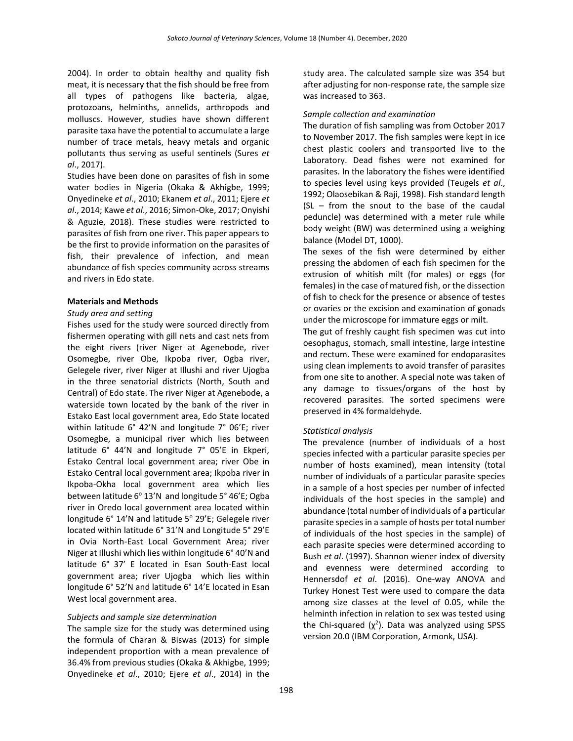2004). In order to obtain healthy and quality fish meat, it is necessary that the fish should be free from all types of pathogens like bacteria, algae, protozoans, helminths, annelids, arthropods and molluscs. However, studies have shown different parasite taxa have the potential to accumulate a large number of trace metals, heavy metals and organic pollutants thus serving as useful sentinels (Sures *et al*., 2017).

Studies have been done on parasites of fish in some water bodies in Nigeria (Okaka & Akhigbe, 1999; Onyedineke *et al*., 2010; Ekanem *et al*., 2011; Ejere *et al*., 2014; Kawe *et al*., 2016; Simon-Oke, 2017; Onyishi & Aguzie, 2018). These studies were restricted to parasites of fish from one river. This paper appears to be the first to provide information on the parasites of fish, their prevalence of infection, and mean abundance of fish species community across streams and rivers in Edo state.

#### **Materials and Methods**

#### *Study area and setting*

Fishes used for the study were sourced directly from fishermen operating with gill nets and cast nets from the eight rivers (river Niger at Agenebode, river Osomegbe, river Obe, Ikpoba river, Ogba river, Gelegele river, river Niger at Illushi and river Ujogba in the three senatorial districts (North, South and Central) of Edo state. The river Niger at Agenebode, a waterside town located by the bank of the river in Estako East local government area, Edo State located within latitude 6° 42'N and longitude 7° 06'E; river Osomegbe, a municipal river which lies between latitude 6° 44'N and longitude 7° 05'E in Ekperi, Estako Central local government area; river Obe in Estako Central local government area; Ikpoba river in Ikpoba-Okha local government area which lies between latitude 6° 13'N and longitude 5° 46'E; Ogba river in Oredo local government area located within longitude 6° 14'N and latitude 5° 29'E; Gelegele river located within latitude 6° 31'N and Longitude 5° 29'E in Ovia North-East Local Government Area; river Niger at Illushi which lies within longitude 6° 40'N and latitude 6° 37' E located in Esan South-East local government area; river Ujogba which lies within longitude 6° 52'N and latitude 6° 14'E located in Esan West local government area.

#### *Subjects and sample size determination*

The sample size for the study was determined using the formula of Charan & Biswas (2013) for simple independent proportion with a mean prevalence of 36.4% from previous studies (Okaka & Akhigbe, 1999; Onyedineke *et al*., 2010; Ejere *et al*., 2014) in the study area. The calculated sample size was 354 but after adjusting for non-response rate, the sample size was increased to 363.

#### *Sample collection and examination*

The duration of fish sampling was from October 2017 to November 2017. The fish samples were kept in ice chest plastic coolers and transported live to the Laboratory. Dead fishes were not examined for parasites. In the laboratory the fishes were identified to species level using keys provided (Teugels *et al*., 1992; Olaosebikan & Raji, 1998). Fish standard length (SL – from the snout to the base of the caudal peduncle) was determined with a meter rule while body weight (BW) was determined using a weighing balance (Model DT, 1000).

The sexes of the fish were determined by either pressing the abdomen of each fish specimen for the extrusion of whitish milt (for males) or eggs (for females) in the case of matured fish, or the dissection of fish to check for the presence or absence of testes or ovaries or the excision and examination of gonads under the microscope for immature eggs or milt.

The gut of freshly caught fish specimen was cut into oesophagus, stomach, small intestine, large intestine and rectum. These were examined for endoparasites using clean implements to avoid transfer of parasites from one site to another. A special note was taken of any damage to tissues/organs of the host by recovered parasites. The sorted specimens were preserved in 4% formaldehyde.

#### *Statistical analysis*

The prevalence (number of individuals of a host species infected with a particular parasite species per number of hosts examined), mean intensity (total number of individuals of a particular parasite species in a sample of a host species per number of infected individuals of the host species in the sample) and abundance (total number of individuals of a particular parasite species in a sample of hosts per total number of individuals of the host species in the sample) of each parasite species were determined according to Bush *et al*. (1997). Shannon wiener index of diversity and evenness were determined according to Hennersdof *et al*. (2016). One-way ANOVA and Turkey Honest Test were used to compare the data among size classes at the level of 0.05, while the helminth infection in relation to sex was tested using the Chi-squared  $(\chi^2)$ . Data was analyzed using SPSS version 20.0 (IBM Corporation, Armonk, USA).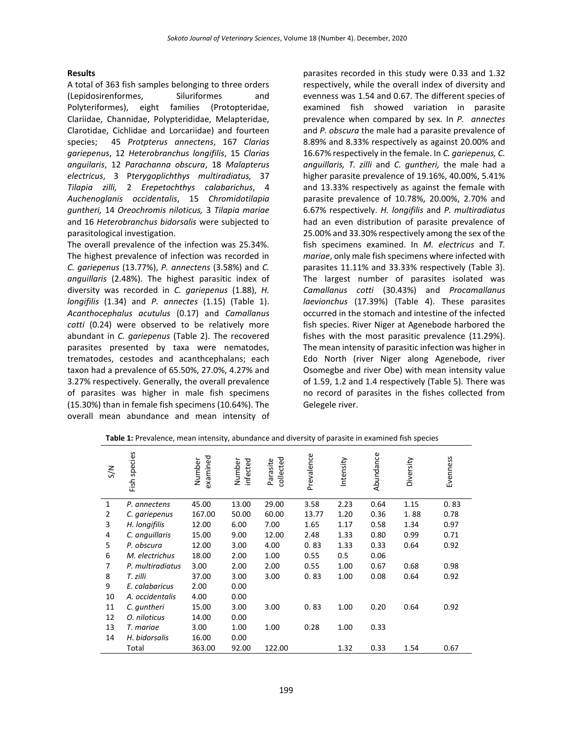#### **Results**

A total of 363 fish samples belonging to three orders (Lepidosirenformes, Siluriformes and Polyteriformes), eight families (Protopteridae, Clariidae, Channidae, Polypterididae, Melapteridae, Clarotidae, Cichlidae and Lorcariidae) and fourteen species; 45 *Protpterus annectens*, 167 *Clarias gariepenus*, 12 *Heterobranchus longifilis*, 15 *Clarias anguilaris*, 12 *Parachanna obscura*, 18 *Malapterus electricus*, 3 P*terygoplichthys multiradiatus,* 37 *Tilapia zilli,* 2 *Erepetochthys calabarichus*, 4 *Auchenoglanis occidentalis*, 15 *Chromidotilapia guntheri,* 14 *Oreochromis niloticus,* 3 *Tilapia mariae* and 16 *Heterobranchus bidorsalis* were subjected to parasitological investigation.

The overall prevalence of the infection was 25.34%. The highest prevalence of infection was recorded in *C. gariepenus* (13.77%), *P. annectens* (3.58%) and *C. anguillaris* (2.48%). The highest parasitic index of diversity was recorded in *C. gariepenus* (1.88), *H. longifilis* (1.34) and *P. annectes* (1.15) (Table 1). *Acanthocephalus acutulus* (0.17) and *Camallanus cotti* (0.24) were observed to be relatively more abundant in *C. gariepenus* (Table 2). The recovered parasites presented by taxa were nematodes, trematodes, cestodes and acanthcephalans; each taxon had a prevalence of 65.50%, 27.0%, 4.27% and 3.27% respectively. Generally, the overall prevalence of parasites was higher in male fish specimens (15.30%) than in female fish specimens (10.64%). The overall mean abundance and mean intensity of

parasites recorded in this study were 0.33 and 1.32 respectively, while the overall index of diversity and evenness was 1.54 and 0.67. The different species of examined fish showed variation in parasite prevalence when compared by sex. In *P. annectes* and *P. obscura* the male had a parasite prevalence of 8.89% and 8.33% respectively as against 20.00% and 16.67% respectively in the female. In *C. gariepenus, C. anguillaris, T. zilli* and *C. guntheri,* the male had a higher parasite prevalence of 19.16%, 40.00%, 5.41% and 13.33% respectively as against the female with parasite prevalence of 10.78%, 20.00%, 2.70% and 6.67% respectively. *H. longifilis* and *P. multiradiatus* had an even distribution of parasite prevalence of 25.00% and 33.30% respectively among the sex of the fish specimens examined. In *M. electricus* and *T. mariae*, only male fish specimens where infected with parasites 11.11% and 33.33% respectively (Table 3). The largest number of parasites isolated was *Camallanus cotti* (30.43%) and *Procamallanus laevionchus* (17.39%) (Table 4). These parasites occurred in the stomach and intestine of the infected fish species. River Niger at Agenebode harbored the fishes with the most parasitic prevalence (11.29%). The mean intensity of parasitic infection was higher in Edo North (river Niger along Agenebode, river Osomegbe and river Obe) with mean intensity value of 1.59, 1.2 and 1.4 respectively (Table 5). There was no record of parasites in the fishes collected from Gelegele river.

| $\leqslant$ | Fish species     | examined<br>Number | Number<br>infected | collected<br>Parasite | Prevalence | Intensity | Abundance | Diversity | Evenness |
|-------------|------------------|--------------------|--------------------|-----------------------|------------|-----------|-----------|-----------|----------|
| 1           | P. annectens     | 45.00              | 13.00              | 29.00                 | 3.58       | 2.23      | 0.64      | 1.15      | 0.83     |
| 2           | C. gariepenus    | 167.00             | 50.00              | 60.00                 | 13.77      | 1.20      | 0.36      | 1.88      | 0.78     |
| 3           | H. longifilis    | 12.00              | 6.00               | 7.00                  | 1.65       | 1.17      | 0.58      | 1.34      | 0.97     |
| 4           | C. anguillaris   | 15.00              | 9.00               | 12.00                 | 2.48       | 1.33      | 0.80      | 0.99      | 0.71     |
| 5           | P. obscura       | 12.00              | 3.00               | 4.00                  | 0.83       | 1.33      | 0.33      | 0.64      | 0.92     |
| 6           | M. electrichus   | 18.00              | 2.00               | 1.00                  | 0.55       | 0.5       | 0.06      |           |          |
| 7           | P. multiradiatus | 3.00               | 2.00               | 2.00                  | 0.55       | 1.00      | 0.67      | 0.68      | 0.98     |
| 8           | T. zilli         | 37.00              | 3.00               | 3.00                  | 0.83       | 1.00      | 0.08      | 0.64      | 0.92     |
| 9           | E. calabaricus   | 2.00               | 0.00               |                       |            |           |           |           |          |
| 10          | A. occidentalis  | 4.00               | 0.00               |                       |            |           |           |           |          |
| 11          | C. quntheri      | 15.00              | 3.00               | 3.00                  | 0.83       | 1.00      | 0.20      | 0.64      | 0.92     |
| 12          | O. niloticus     | 14.00              | 0.00               |                       |            |           |           |           |          |
| 13          | T. mariae        | 3.00               | 1.00               | 1.00                  | 0.28       | 1.00      | 0.33      |           |          |
| 14          | H. bidorsalis    | 16.00              | 0.00               |                       |            |           |           |           |          |
|             | Total            | 363.00             | 92.00              | 122.00                |            | 1.32      | 0.33      | 1.54      | 0.67     |

**Table 1:** Prevalence, mean intensity, abundance and diversity of parasite in examined fish species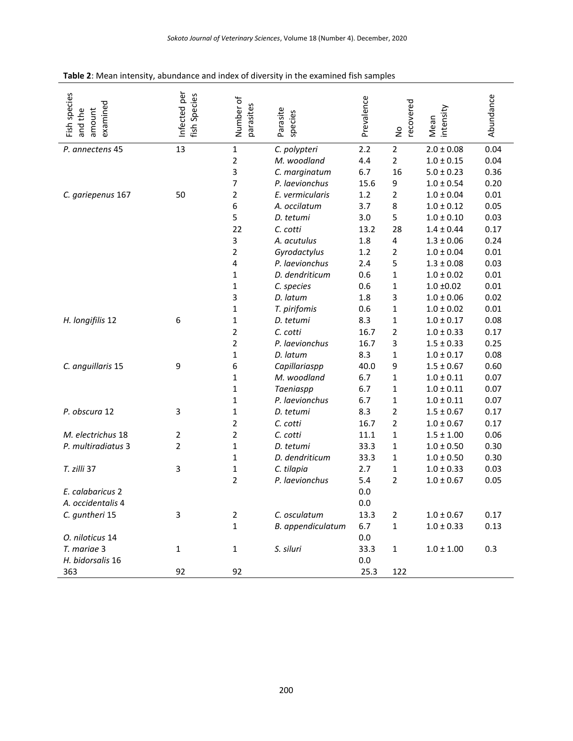| Fish species<br>examined<br>and the<br>amount | Infected per<br>fish Species | Number of<br>parasites | Parasite<br>species | Prevalence | recovered<br>$\mathsf{S}$ | Mean<br>intensity | Abundance |
|-----------------------------------------------|------------------------------|------------------------|---------------------|------------|---------------------------|-------------------|-----------|
| P. annectens 45                               | 13                           | $\mathbf{1}$           | C. polypteri        | 2.2        | $\overline{2}$            | $2.0 \pm 0.08$    | 0.04      |
|                                               |                              | $\overline{2}$         | M. woodland         | 4.4        | $\overline{2}$            | $1.0 \pm 0.15$    | 0.04      |
|                                               |                              | 3                      | C. marginatum       | 6.7        | 16                        | $5.0 \pm 0.23$    | 0.36      |
|                                               |                              | 7                      | P. laevionchus      | 15.6       | 9                         | $1.0 \pm 0.54$    | 0.20      |
| C. gariepenus 167                             | 50                           | $\overline{2}$         | E. vermicularis     | 1.2        | $\overline{2}$            | $1.0 \pm 0.04$    | 0.01      |
|                                               |                              | 6                      | A. occilatum        | 3.7        | 8                         | $1.0 \pm 0.12$    | 0.05      |
|                                               |                              | 5                      | D. tetumi           | 3.0        | 5                         | $1.0 \pm 0.10$    | 0.03      |
|                                               |                              | 22                     | C. cotti            | 13.2       | 28                        | $1.4 \pm 0.44$    | 0.17      |
|                                               |                              | 3                      | A. acutulus         | 1.8        | 4                         | $1.3 \pm 0.06$    | 0.24      |
|                                               |                              | $\overline{2}$         | Gyrodactylus        | 1.2        | $\overline{2}$            | $1.0 \pm 0.04$    | 0.01      |
|                                               |                              | 4                      | P. laevionchus      | 2.4        | 5                         | $1.3 \pm 0.08$    | 0.03      |
|                                               |                              | 1                      | D. dendriticum      | 0.6        | $\mathbf{1}$              | $1.0 \pm 0.02$    | 0.01      |
|                                               |                              | 1                      | C. species          | 0.6        | $\mathbf{1}$              | $1.0 \pm 0.02$    | 0.01      |
|                                               |                              | 3                      | D. latum            | 1.8        | 3                         | $1.0\pm0.06$      | 0.02      |
|                                               |                              | $\mathbf 1$            | T. pirifomis        | 0.6        | $\mathbf{1}$              | $1.0 \pm 0.02$    | 0.01      |
| H. longifilis 12                              | 6                            | 1                      | D. tetumi           | 8.3        | $\mathbf{1}$              | $1.0 \pm 0.17$    | 0.08      |
|                                               |                              | $\overline{2}$         | C. cotti            | 16.7       | $\overline{2}$            | $1.0 \pm 0.33$    | 0.17      |
|                                               |                              | $\overline{2}$         | P. laevionchus      | 16.7       | 3                         | $1.5 \pm 0.33$    | 0.25      |
|                                               |                              | $\mathbf 1$            | D. latum            | 8.3        | $\mathbf{1}$              | $1.0 \pm 0.17$    | 0.08      |
| C. anguillaris 15                             | 9                            | 6                      | Capillariaspp       | 40.0       | 9                         | $1.5 \pm 0.67$    | 0.60      |
|                                               |                              | 1                      | M. woodland         | 6.7        | $\mathbf{1}$              | $1.0 \pm 0.11$    | 0.07      |
|                                               |                              | 1                      | Taeniaspp           | 6.7        | $\mathbf{1}$              | $1.0 \pm 0.11$    | 0.07      |
|                                               |                              | $\mathbf 1$            | P. laevionchus      | 6.7        | $\mathbf{1}$              | $1.0 \pm 0.11$    | 0.07      |
| P. obscura 12                                 | 3                            | 1                      | D. tetumi           | 8.3        | $\overline{2}$            | $1.5 \pm 0.67$    | 0.17      |
|                                               |                              | $\overline{2}$         | C. cotti            | 16.7       | $\overline{2}$            | $1.0 \pm 0.67$    | 0.17      |
| M. electrichus 18                             | $\overline{2}$               | $\overline{2}$         | C. cotti            | 11.1       | $\mathbf{1}$              | $1.5 \pm 1.00$    | 0.06      |
| P. multiradiatus 3                            | $\overline{2}$               | $\mathbf 1$            | D. tetumi           | 33.3       | $\mathbf{1}$              | $1.0 \pm 0.50$    | 0.30      |
|                                               |                              | 1                      | D. dendriticum      | 33.3       | $\mathbf{1}$              | $1.0 \pm 0.50$    | 0.30      |
| T. zilli 37                                   | 3                            | 1                      | C. tilapia          | 2.7        | $\mathbf{1}$              | $1.0 \pm 0.33$    | 0.03      |
|                                               |                              | $\overline{2}$         | P. laevionchus      | 5.4        | $\overline{2}$            | $1.0 \pm 0.67$    | 0.05      |
| E. calabaricus 2                              |                              |                        |                     | 0.0        |                           |                   |           |
| A. occidentalis 4                             |                              |                        |                     | 0.0        |                           |                   |           |
| C. guntheri 15                                | 3                            | $\overline{2}$         | C. osculatum        | 13.3       | $\overline{2}$            | $1.0 \pm 0.67$    | 0.17      |
|                                               |                              | $\mathbf{1}$           | B. appendiculatum   | 6.7        | $\mathbf{1}$              | $1.0 \pm 0.33$    | 0.13      |
| O. niloticus 14                               |                              |                        |                     | 0.0        |                           |                   |           |
| T. mariae 3                                   | $\mathbf{1}$                 | 1                      | S. siluri           | 33.3       | $\mathbf{1}$              | $1.0 \pm 1.00$    | 0.3       |
| H. bidorsalis 16                              |                              |                        |                     | 0.0        |                           |                   |           |
| 363                                           | 92                           | 92                     |                     | 25.3       | 122                       |                   |           |

### **Table 2**: Mean intensity, abundance and index of diversity in the examined fish samples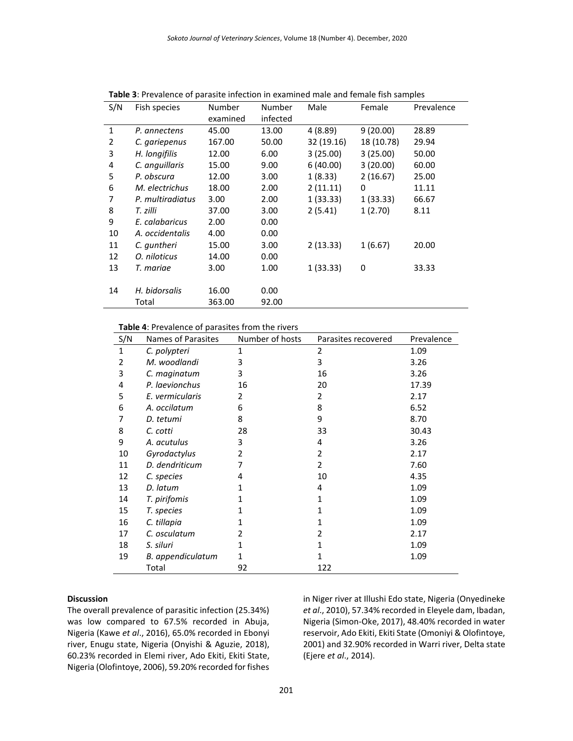| S/N | Fish species     | Number   | Number   | Male       | Female     | Prevalence |
|-----|------------------|----------|----------|------------|------------|------------|
|     |                  | examined | infected |            |            |            |
| 1   | P. annectens     | 45.00    | 13.00    | 4 (8.89)   | 9(20.00)   | 28.89      |
| 2   | C. gariepenus    | 167.00   | 50.00    | 32 (19.16) | 18 (10.78) | 29.94      |
| 3   | H. longifilis    | 12.00    | 6.00     | 3(25.00)   | 3(25.00)   | 50.00      |
| 4   | C. anguillaris   | 15.00    | 9.00     | 6(40.00)   | 3(20.00)   | 60.00      |
| 5   | P. obscura       | 12.00    | 3.00     | 1(8.33)    | 2(16.67)   | 25.00      |
| 6   | M. electrichus   | 18.00    | 2.00     | 2(11.11)   | 0          | 11.11      |
| 7   | P. multiradiatus | 3.00     | 2.00     | 1(33.33)   | 1(33.33)   | 66.67      |
| 8   | T. zilli         | 37.00    | 3.00     | 2(5.41)    | 1(2.70)    | 8.11       |
| 9   | E. calabaricus   | 2.00     | 0.00     |            |            |            |
| 10  | A. occidentalis  | 4.00     | 0.00     |            |            |            |
| 11  | C. guntheri      | 15.00    | 3.00     | 2(13.33)   | 1(6.67)    | 20.00      |
| 12  | O. niloticus     | 14.00    | 0.00     |            |            |            |
| 13  | T. mariae        | 3.00     | 1.00     | 1(33.33)   | 0          | 33.33      |
|     |                  |          |          |            |            |            |
| 14  | H. bidorsalis    | 16.00    | 0.00     |            |            |            |
|     | Total            | 363.00   | 92.00    |            |            |            |

**Table 3**: Prevalence of parasite infection in examined male and female fish samples

#### **Table 4**: Prevalence of parasites from the rivers

| S/N | Names of Parasites | Number of hosts | Parasites recovered | Prevalence |
|-----|--------------------|-----------------|---------------------|------------|
| 1   | C. polypteri       | 1               | 2                   | 1.09       |
| 2   | M. woodlandi       | 3               | 3                   | 3.26       |
| 3   | C. maginatum       | 3               | 16                  | 3.26       |
| 4   | P. laevionchus     | 16              | 20                  | 17.39      |
| 5   | E. vermicularis    | 2               | 2                   | 2.17       |
| 6   | A. occilatum       | 6               | 8                   | 6.52       |
| 7   | D. tetumi          | 8               | 9                   | 8.70       |
| 8   | C. cotti           | 28              | 33                  | 30.43      |
| 9   | A. acutulus        | 3               | 4                   | 3.26       |
| 10  | Gyrodactylus       | 2               | 2                   | 2.17       |
| 11  | D. dendriticum     |                 | 2                   | 7.60       |
| 12  | C. species         | 4               | 10                  | 4.35       |
| 13  | D. latum           |                 | 4                   | 1.09       |
| 14  | T. pirifomis       |                 | 1                   | 1.09       |
| 15  | T. species         |                 | 1                   | 1.09       |
| 16  | C. tillapia        |                 | 1                   | 1.09       |
| 17  | C. osculatum       | 2               | 2                   | 2.17       |
| 18  | S. siluri          | 1               | 1                   | 1.09       |
| 19  | B. appendiculatum  |                 |                     | 1.09       |
|     | Total              | 92              | 122                 |            |

#### **Discussion**

The overall prevalence of parasitic infection (25.34%) was low compared to 67.5% recorded in Abuja, Nigeria (Kawe *et al*., 2016), 65.0% recorded in Ebonyi river, Enugu state, Nigeria (Onyishi & Aguzie, 2018), 60.23% recorded in Elemi river, Ado Ekiti, Ekiti State, Nigeria (Olofintoye, 2006), 59.20% recorded for fishes

in Niger river at Illushi Edo state, Nigeria (Onyedineke *et al*., 2010), 57.34% recorded in Eleyele dam, Ibadan, Nigeria (Simon-Oke, 2017), 48.40% recorded in water reservoir, Ado Ekiti, Ekiti State (Omoniyi & Olofintoye, 2001) and 32.90% recorded in Warri river, Delta state (Ejere *et al*., 2014).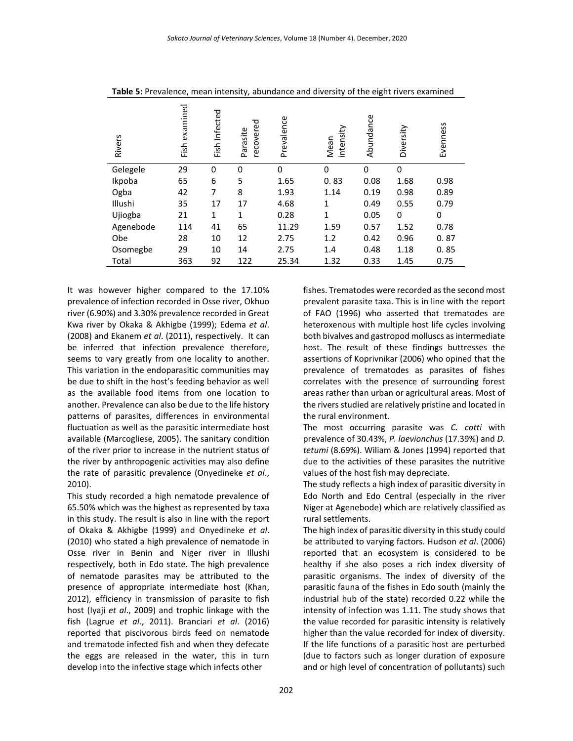| <b>Rivers</b> | examined<br>Fish | Infected<br>Fish | recovered<br>Parasite | Prevalence | intensity<br>Mean | Abundance | Diversity | Evenness |
|---------------|------------------|------------------|-----------------------|------------|-------------------|-----------|-----------|----------|
| Gelegele      | 29               | 0                | 0                     | 0          | 0                 | 0         | 0         |          |
| Ikpoba        | 65               | 6                | 5                     | 1.65       | 0.83              | 0.08      | 1.68      | 0.98     |
| Ogba          | 42               | 7                | 8                     | 1.93       | 1.14              | 0.19      | 0.98      | 0.89     |
| Illushi       | 35               | 17               | 17                    | 4.68       | 1                 | 0.49      | 0.55      | 0.79     |
| Ujiogba       | 21               | 1                | 1                     | 0.28       | 1                 | 0.05      | 0         | 0        |
| Agenebode     | 114              | 41               | 65                    | 11.29      | 1.59              | 0.57      | 1.52      | 0.78     |
| Obe           | 28               | 10               | 12                    | 2.75       | 1.2               | 0.42      | 0.96      | 0.87     |
| Osomegbe      | 29               | 10               | 14                    | 2.75       | 1.4               | 0.48      | 1.18      | 0.85     |
| Total         | 363              | 92               | 122                   | 25.34      | 1.32              | 0.33      | 1.45      | 0.75     |

**Table 5:** Prevalence, mean intensity, abundance and diversity of the eight rivers examined

It was however higher compared to the 17.10% prevalence of infection recorded in Osse river, Okhuo river (6.90%) and 3.30% prevalence recorded in Great Kwa river by Okaka & Akhigbe (1999); Edema *et al*. (2008) and Ekanem *et al*. (2011), respectively. It can be inferred that infection prevalence therefore, seems to vary greatly from one locality to another. This variation in the endoparasitic communities may be due to shift in the host's feeding behavior as well as the available food items from one location to another. Prevalence can also be due to the life history patterns of parasites, differences in environmental fluctuation as well as the parasitic intermediate host available (Marcogliese, 2005). The sanitary condition of the river prior to increase in the nutrient status of the river by anthropogenic activities may also define the rate of parasitic prevalence (Onyedineke *et al*., 2010).

This study recorded a high nematode prevalence of 65.50% which was the highest as represented by taxa in this study. The result is also in line with the report of Okaka & Akhigbe (1999) and Onyedineke *et al*. (2010) who stated a high prevalence of nematode in Osse river in Benin and Niger river in Illushi respectively, both in Edo state. The high prevalence of nematode parasites may be attributed to the presence of appropriate intermediate host (Khan, 2012), efficiency in transmission of parasite to fish host (Iyaji *et al*., 2009) and trophic linkage with the fish (Lagrue *et al*., 2011). Branciari *et al*. (2016) reported that piscivorous birds feed on nematode and trematode infected fish and when they defecate the eggs are released in the water, this in turn develop into the infective stage which infects other

fishes. Trematodes were recorded as the second most prevalent parasite taxa. This is in line with the report of FAO (1996) who asserted that trematodes are heteroxenous with multiple host life cycles involving both bivalves and gastropod molluscs as intermediate host. The result of these findings buttresses the assertions of Koprivnikar (2006) who opined that the prevalence of trematodes as parasites of fishes correlates with the presence of surrounding forest areas rather than urban or agricultural areas. Most of the rivers studied are relatively pristine and located in the rural environment.

The most occurring parasite was *C. cotti* with prevalence of 30.43%, *P. laevionchus* (17.39%) and *D. tetumi* (8.69%). Wiliam & Jones (1994) reported that due to the activities of these parasites the nutritive values of the host fish may depreciate.

The study reflects a high index of parasitic diversity in Edo North and Edo Central (especially in the river Niger at Agenebode) which are relatively classified as rural settlements.

The high index of parasitic diversity in this study could be attributed to varying factors. Hudson *et al*. (2006) reported that an ecosystem is considered to be healthy if she also poses a rich index diversity of parasitic organisms. The index of diversity of the parasitic fauna of the fishes in Edo south (mainly the industrial hub of the state) recorded 0.22 while the intensity of infection was 1.11. The study shows that the value recorded for parasitic intensity is relatively higher than the value recorded for index of diversity. If the life functions of a parasitic host are perturbed (due to factors such as longer duration of exposure and or high level of concentration of pollutants) such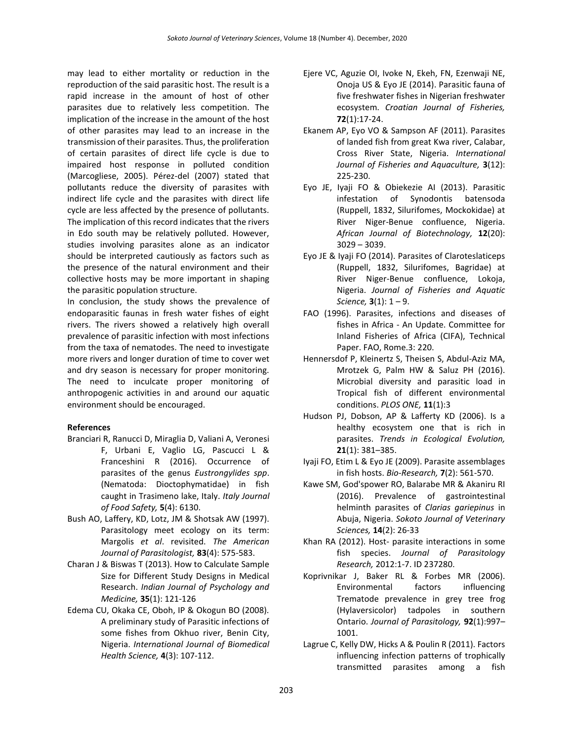may lead to either mortality or reduction in the reproduction of the said parasitic host. The result is a rapid increase in the amount of host of other parasites due to relatively less competition. The implication of the increase in the amount of the host of other parasites may lead to an increase in the transmission of their parasites. Thus, the proliferation of certain parasites of direct life cycle is due to impaired host response in polluted condition (Marcogliese, 2005). Pérez-del (2007) stated that pollutants reduce the diversity of parasites with indirect life cycle and the parasites with direct life cycle are less affected by the presence of pollutants. The implication of this record indicates that the rivers in Edo south may be relatively polluted. However, studies involving parasites alone as an indicator should be interpreted cautiously as factors such as the presence of the natural environment and their collective hosts may be more important in shaping the parasitic population structure.

In conclusion, the study shows the prevalence of endoparasitic faunas in fresh water fishes of eight rivers. The rivers showed a relatively high overall prevalence of parasitic infection with most infections from the taxa of nematodes. The need to investigate more rivers and longer duration of time to cover wet and dry season is necessary for proper monitoring. The need to inculcate proper monitoring of anthropogenic activities in and around our aquatic environment should be encouraged.

#### **References**

- Branciari R, Ranucci D, Miraglia D, Valiani A, Veronesi F, Urbani E, Vaglio LG, Pascucci L & Franceshini R (2016). Occurrence of parasites of the genus *Eustrongylides spp*. (Nematoda: Dioctophymatidae) in fish caught in Trasimeno lake, Italy. *Italy Journal of Food Safety,* **5**(4): 6130.
- Bush AO, Laffery, KD, Lotz, JM & Shotsak AW (1997). Parasitology meet ecology on its term: Margolis *et al*. revisited. *The American Journal of Parasitologist,* **83**(4): 575-583.
- Charan J & Biswas T (2013). How to Calculate Sample Size for Different Study Designs in Medical Research. *Indian Journal of Psychology and Medicine,* **35**(1): 121-126
- Edema CU, Okaka CE, Oboh, IP & Okogun BO (2008). A preliminary study of Parasitic infections of some fishes from Okhuo river, Benin City, Nigeria. *International Journal of Biomedical Health Science,* **4**(3): 107-112.
- Ejere VC, Aguzie OI, Ivoke N, Ekeh, FN, Ezenwaji NE, Onoja US & Eyo JE (2014). Parasitic fauna of five freshwater fishes in Nigerian freshwater ecosystem. *Croatian Journal of Fisheries,* **72**(1):17-24.
- Ekanem AP, Eyo VO & Sampson AF (2011). Parasites of landed fish from great Kwa river, Calabar, Cross River State, Nigeria. *International Journal of Fisheries and Aquaculture,* **3**(12): 225-230.
- Eyo JE, Iyaji FO & Obiekezie AI (2013). Parasitic infestation of Synodontis batensoda (Ruppell, 1832, Silurifomes, Mockokidae) at River Niger-Benue confluence, Nigeria. *African Journal of Biotechnology,* **12**(20): 3029 – 3039.
- Eyo JE & Iyaji FO (2014). Parasites of Claroteslaticeps (Ruppell, 1832, Silurifomes, Bagridae) at River Niger-Benue confluence, Lokoja, Nigeria. *Journal of Fisheries and Aquatic Science,* **3**(1): 1 – 9.
- FAO (1996). Parasites, infections and diseases of fishes in Africa - An Update. Committee for Inland Fisheries of Africa (CIFA), Technical Paper. FAO, Rome.3: 220.
- Hennersdof P, Kleinertz S, Theisen S, Abdul-Aziz MA, Mrotzek G, Palm HW & Saluz PH (2016). Microbial diversity and parasitic load in Tropical fish of different environmental conditions. *PLOS ONE,* **11**(1):3
- Hudson PJ, Dobson, AP & Lafferty KD (2006). Is a healthy ecosystem one that is rich in parasites. *Trends in Ecological Evolution,* **21**(1): 381–385.
- Iyaji FO, Etim L & Eyo JE (2009). Parasite assemblages in fish hosts. *Bio-Research,* **7**(2): 561-570.
- Kawe SM, God'spower RO, Balarabe MR & Akaniru RI (2016). Prevalence of gastrointestinal helminth parasites of *Clarias gariepinus* in Abuja, Nigeria. *Sokoto Journal of Veterinary Sciences,* **14**(2): 26-33
- Khan RA (2012). Host- parasite interactions in some fish species. *Journal of Parasitology Research,* 2012:1-7. ID 237280.
- Koprivnikar J, Baker RL & Forbes MR (2006). Environmental factors influencing Trematode prevalence in grey tree frog (Hylaversicolor) tadpoles in southern Ontario. *Journal of Parasitology,* **92**(1):997– 1001.
- Lagrue C, Kelly DW, Hicks A & Poulin R (2011). Factors influencing infection patterns of trophically transmitted parasites among a fish